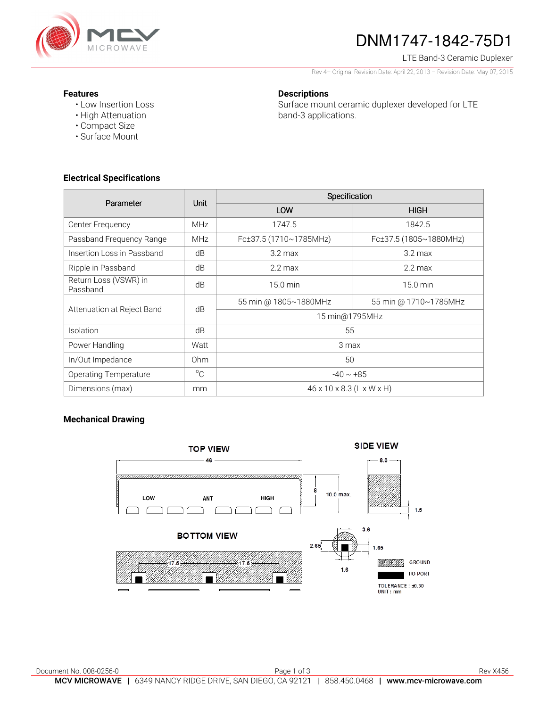

# DNM1747-1842-75D1

### LTE Band-3 Ceramic Duplexer

Rev 4– Original Revision Date: April 22, 2013 – Revision Date: May 07, 2015

#### **Features**

• Low Insertion Loss • High Attenuation

• Compact Size • Surface Mount

## **Descriptions**

Surface mount ceramic duplexer developed for LTE band-3 applications.

**Electrical Specifications** 

| Parameter                         | <b>Unit</b>     | Specification                         |                        |
|-----------------------------------|-----------------|---------------------------------------|------------------------|
|                                   |                 | LOW                                   | <b>HIGH</b>            |
| Center Frequency                  | <b>MHz</b>      | 1747.5                                | 1842.5                 |
| Passband Frequency Range          | <b>MHz</b>      | Fc±37.5 (1710~1785MHz)                | Fc±37.5 (1805~1880MHz) |
| Insertion Loss in Passband        | dB              | $3.2 \text{ max}$                     | $3.2 \text{ max}$      |
| Ripple in Passband                | dB              | $2.2 \text{ max}$                     | $2.2 \text{ max}$      |
| Return Loss (VSWR) in<br>Passband | dB              | 15.0 min                              | 15.0 min               |
| Attenuation at Reject Band        | dB              | 55 min @ 1805~1880MHz                 | 55 min @ 1710~1785MHz  |
|                                   |                 | 15 min@1795MHz                        |                        |
| Isolation                         | dB              | 55                                    |                        |
| Power Handling                    | Watt            | 3 max                                 |                        |
| In/Out Impedance                  | 0 <sub>hm</sub> | 50                                    |                        |
| <b>Operating Temperature</b>      | $^{\circ}$ C    | $-40 \sim +85$                        |                        |
| Dimensions (max)                  | mm              | $46 \times 10 \times 8.3$ (L x W x H) |                        |

### **Mechanical Drawing**

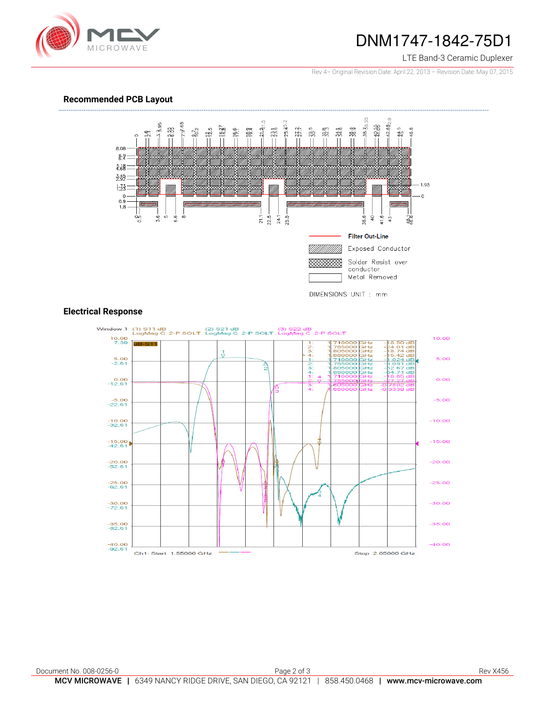

## DNM1747-1842-75D1

#### LTE Band-3 Ceramic Duplexer

Rev 4– Original Revision Date: April 22, 2013 – Revision Date: May 07, 2015

#### **Recommended PCB Layout**



#### **Electrical Response**